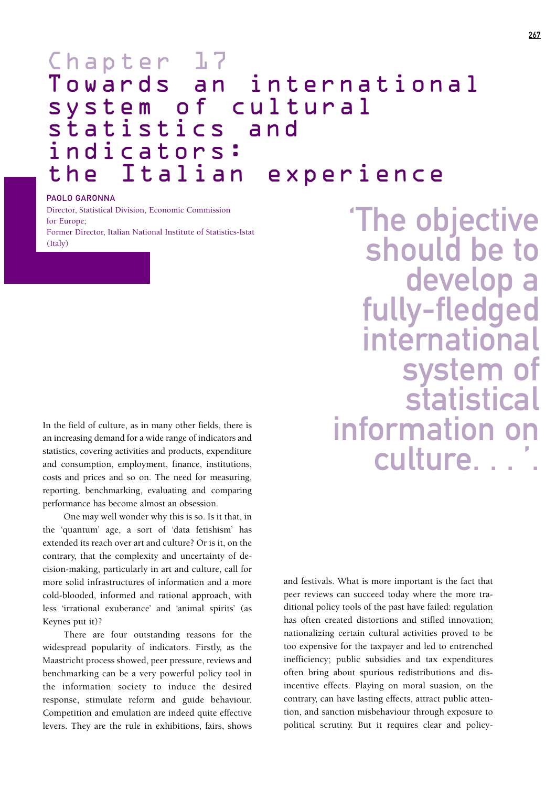## Chapter 17 Towards an international system of cultural statistics and indicators:<br>the Italian the Italian experience

## PAOLO GARONNA

Director, Statistical Division, Economic Commission for Europe; Former Director, Italian National Institute of Statistics-Istat  $(Italv)$ 

In the field of culture, as in many other fields, there is an increasing demand for a wide range of indicators and statistics, covering activities and products, expenditure and consumption, employment, finance, institutions, costs and prices and so on. The need for measuring, reporting, benchmarking, evaluating and comparing performance has become almost an obsession.

One may well wonder why this is so. Is it that, in the 'quantum' age, a sort of 'data fetishism' has extended its reach over art and culture? Or is it, on the contrary, that the complexity and uncertainty of decision-making, particularly in art and culture, call for more solid infrastructures of information and a more cold-blooded, informed and rational approach, with less 'irrational exuberance' and 'animal spirits' (as Keynes put it)?

There are four outstanding reasons for the widespread popularity of indicators. Firstly, as the Maastricht process showed, peer pressure, reviews and benchmarking can be a very powerful policy tool in the information society to induce the desired response, stimulate reform and guide behaviour. Competition and emulation are indeed quite effective levers. They are the rule in exhibitions, fairs, shows

'The objective should be to<br>develop a fully-fledged international system of statistical information on culture. . .

and festivals. What is more important is the fact that peer reviews can succeed today where the more traditional policy tools of the past have failed: regulation has often created distortions and stifled innovation; nationalizing certain cultural activities proved to be too expensive for the taxpayer and led to entrenched inefficiency; public subsidies and tax expenditures often bring about spurious redistributions and disincentive effects. Playing on moral suasion, on the contrary, can have lasting effects, attract public attention, and sanction misbehaviour through exposure to political scrutiny. But it requires clear and policy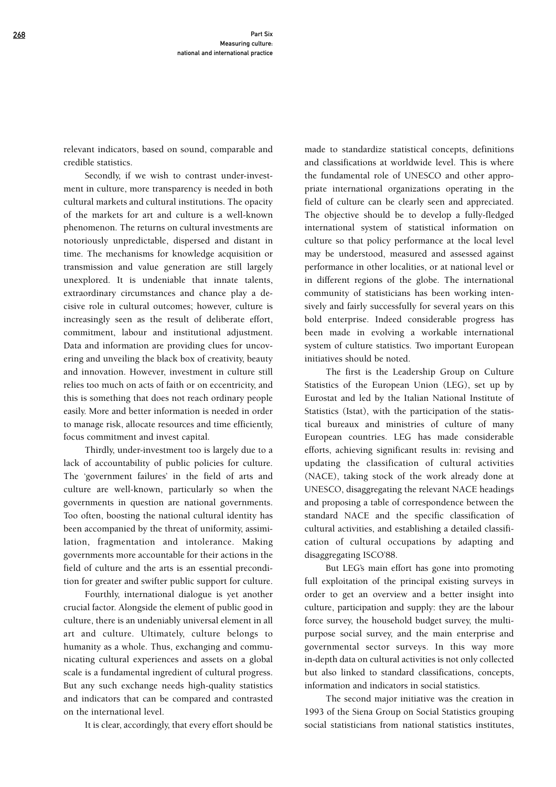relevant indicators, based on sound, comparable and credible statistics.

Secondly, if we wish to contrast under-investment in culture, more transparency is needed in both cultural markets and cultural institutions. The opacity of the markets for art and culture is a well-known phenomenon. The returns on cultural investments are notoriously unpredictable, dispersed and distant in time. The mechanisms for knowledge acquisition or transmission and value generation are still largely unexplored. It is undeniable that innate talents, extraordinary circumstances and chance play a decisive role in cultural outcomes; however, culture is increasingly seen as the result of deliberate effort, commitment, labour and institutional adjustment. Data and information are providing clues for uncovering and unveiling the black box of creativity, beauty and innovation. However, investment in culture still relies too much on acts of faith or on eccentricity, and this is something that does not reach ordinary people easily. More and better information is needed in order to manage risk, allocate resources and time efficiently, focus commitment and invest capital.

Thirdly, under-investment too is largely due to a lack of accountability of public policies for culture. The 'government failures' in the field of arts and culture are well-known, particularly so when the governments in question are national governments. Too often, boosting the national cultural identity has been accompanied by the threat of uniformity, assimilation, fragmentation and intolerance. Making governments more accountable for their actions in the field of culture and the arts is an essential precondition for greater and swifter public support for culture.

Fourthly, international dialogue is yet another crucial factor. Alongside the element of public good in culture, there is an undeniably universal element in all art and culture. Ultimately, culture belongs to humanity as a whole. Thus, exchanging and communicating cultural experiences and assets on a global scale is a fundamental ingredient of cultural progress. But any such exchange needs high-quality statistics and indicators that can be compared and contrasted on the international level.

It is clear, accordingly, that every effort should be

made to standardize statistical concepts, definitions and classifications at worldwide level. This is where the fundamental role of UNESCO and other appropriate international organizations operating in the field of culture can be clearly seen and appreciated. The objective should be to develop a fully-fledged international system of statistical information on culture so that policy performance at the local level may be understood, measured and assessed against performance in other localities, or at national level or in different regions of the globe. The international community of statisticians has been working intensively and fairly successfully for several years on this bold enterprise. Indeed considerable progress has been made in evolving a workable international system of culture statistics. Two important European initiatives should be noted.

The first is the Leadership Group on Culture Statistics of the European Union (LEG), set up by Eurostat and led by the Italian National Institute of Statistics (Istat), with the participation of the statistical bureaux and ministries of culture of many European countries. LEG has made considerable efforts, achieving significant results in: revising and updating the classification of cultural activities (NACE), taking stock of the work already done at UNESCO, disaggregating the relevant NACE headings and proposing a table of correspondence between the standard NACE and the specific classification of cultural activities, and establishing a detailed classification of cultural occupations by adapting and disaggregating ISCO'88.

But LEG's main effort has gone into promoting full exploitation of the principal existing surveys in order to get an overview and a better insight into culture, participation and supply: they are the labour force survey, the household budget survey, the multipurpose social survey, and the main enterprise and governmental sector surveys. In this way more in-depth data on cultural activities is not only collected but also linked to standard classifications, concepts, information and indicators in social statistics.

The second major initiative was the creation in 1993 of the Siena Group on Social Statistics grouping social statisticians from national statistics institutes,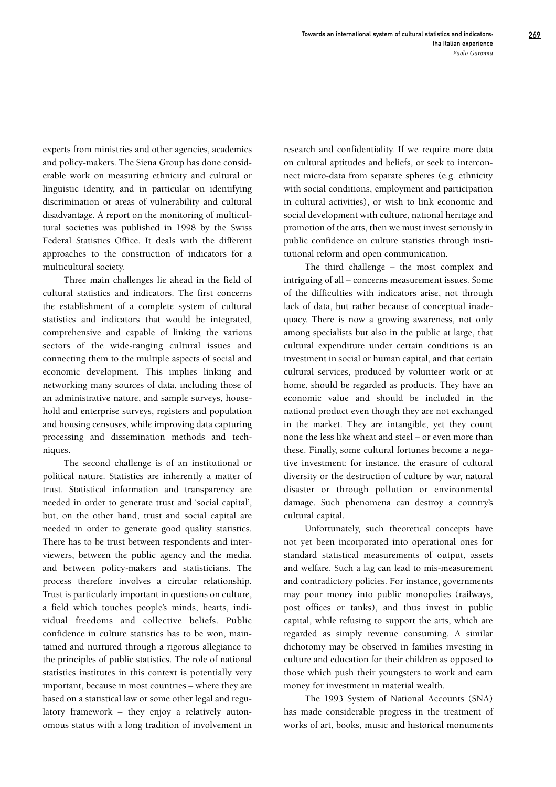experts from ministries and other agencies, academics and policy-makers. The Siena Group has done considerable work on measuring ethnicity and cultural or linguistic identity, and in particular on identifying discrimination or areas of vulnerability and cultural disadvantage. A report on the monitoring of multicultural societies was published in 1998 by the Swiss Federal Statistics Office. It deals with the different approaches to the construction of indicators for a multicultural society.

Three main challenges lie ahead in the field of cultural statistics and indicators. The first concerns the establishment of a complete system of cultural statistics and indicators that would be integrated, comprehensive and capable of linking the various sectors of the wide-ranging cultural issues and connecting them to the multiple aspects of social and economic development. This implies linking and networking many sources of data, including those of an administrative nature, and sample surveys, household and enterprise surveys, registers and population and housing censuses, while improving data capturing processing and dissemination methods and techniques.

The second challenge is of an institutional or political nature. Statistics are inherently a matter of trust. Statistical information and transparency are needed in order to generate trust and 'social capital', but, on the other hand, trust and social capital are needed in order to generate good quality statistics. There has to be trust between respondents and interviewers, between the public agency and the media, and between policy-makers and statisticians. The process therefore involves a circular relationship. Trust is particularly important in questions on culture, a field which touches people's minds, hearts, individual freedoms and collective beliefs. Public confidence in culture statistics has to be won, maintained and nurtured through a rigorous allegiance to the principles of public statistics. The role of national statistics institutes in this context is potentially very important, because in most countries – where they are based on a statistical law or some other legal and regulatory framework – they enjoy a relatively autonomous status with a long tradition of involvement in

research and confidentiality. If we require more data on cultural aptitudes and beliefs, or seek to interconnect micro-data from separate spheres (e.g. ethnicity with social conditions, employment and participation in cultural activities), or wish to link economic and social development with culture, national heritage and promotion of the arts, then we must invest seriously in public confidence on culture statistics through institutional reform and open communication.

The third challenge – the most complex and intriguing of all – concerns measurement issues. Some of the difficulties with indicators arise, not through lack of data, but rather because of conceptual inadequacy. There is now a growing awareness, not only among specialists but also in the public at large, that cultural expenditure under certain conditions is an investment in social or human capital, and that certain cultural services, produced by volunteer work or at home, should be regarded as products. They have an economic value and should be included in the national product even though they are not exchanged in the market. They are intangible, yet they count none the less like wheat and steel – or even more than these. Finally, some cultural fortunes become a negative investment: for instance, the erasure of cultural diversity or the destruction of culture by war, natural disaster or through pollution or environmental damage. Such phenomena can destroy a country's cultural capital.

Unfortunately, such theoretical concepts have not yet been incorporated into operational ones for standard statistical measurements of output, assets and welfare. Such a lag can lead to mis-measurement and contradictory policies. For instance, governments may pour money into public monopolies (railways, post offices or tanks), and thus invest in public capital, while refusing to support the arts, which are regarded as simply revenue consuming. A similar dichotomy may be observed in families investing in culture and education for their children as opposed to those which push their youngsters to work and earn money for investment in material wealth.

The 1993 System of National Accounts (SNA) has made considerable progress in the treatment of works of art, books, music and historical monuments